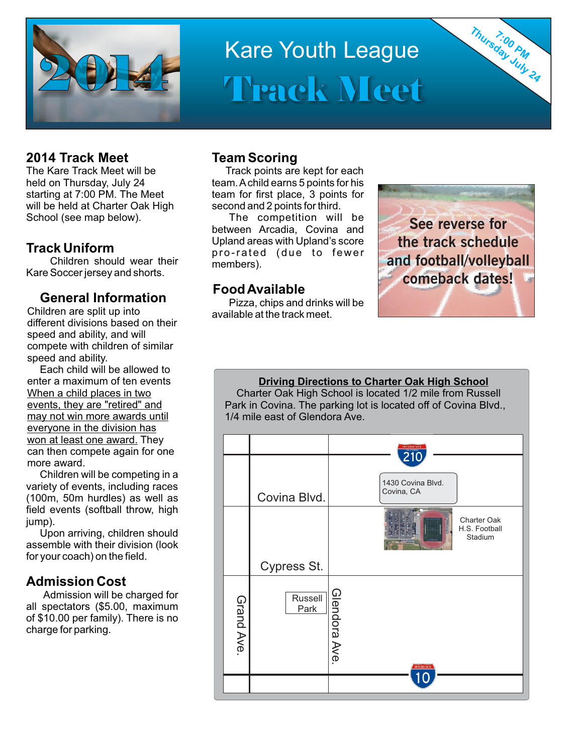

# Kare Youth League Track Meet

## **2014 Track Meet**

The Kare Track Meet will be held on Thursday, July 24 starting at 7:00 PM. The Meet will be held at Charter Oak High School (see map below).

## **Track Uniform**

Children should wear their Kare Soccer jersey and shorts.

## **General Information**

Children are split up into different divisions based on their speed and ability, and will compete with children of similar speed and ability.

Each child will be allowed to enter a maximum of ten events When a child places in two events, they are "retired" and may not win more awards until everyone in the division has won at least one award. They can then compete again for one more award.

Children will be competing in a variety of events, including races (100m, 50m hurdles) as well as field events (softball throw, high jump).

Upon arriving, children should assemble with their division (look for your coach) on the field.

## **Admission Cost**

Admission will be charged for all spectators (\$5.00, maximum of \$10.00 per family). There is no charge for parking.

### **Team Scoring**

Track points are kept for each team. Achild earns 5 points for his team for first place, 3 points for second and 2 points for third.

The competition will be between Arcadia, Covina and Upland areas with Upland's score pro-rated (due to fewer members).

## **Food Available**

Pizza, chips and drinks will be available at the track meet.



**7:00 PM Thursday July 24**

**Driving Directions to Charter Oak High School** Charter Oak High School is located 1/2 mile from Russell Park in Covina. The parking lot is located off of Covina Blvd., 1/4 mile east of Glendora Ave.